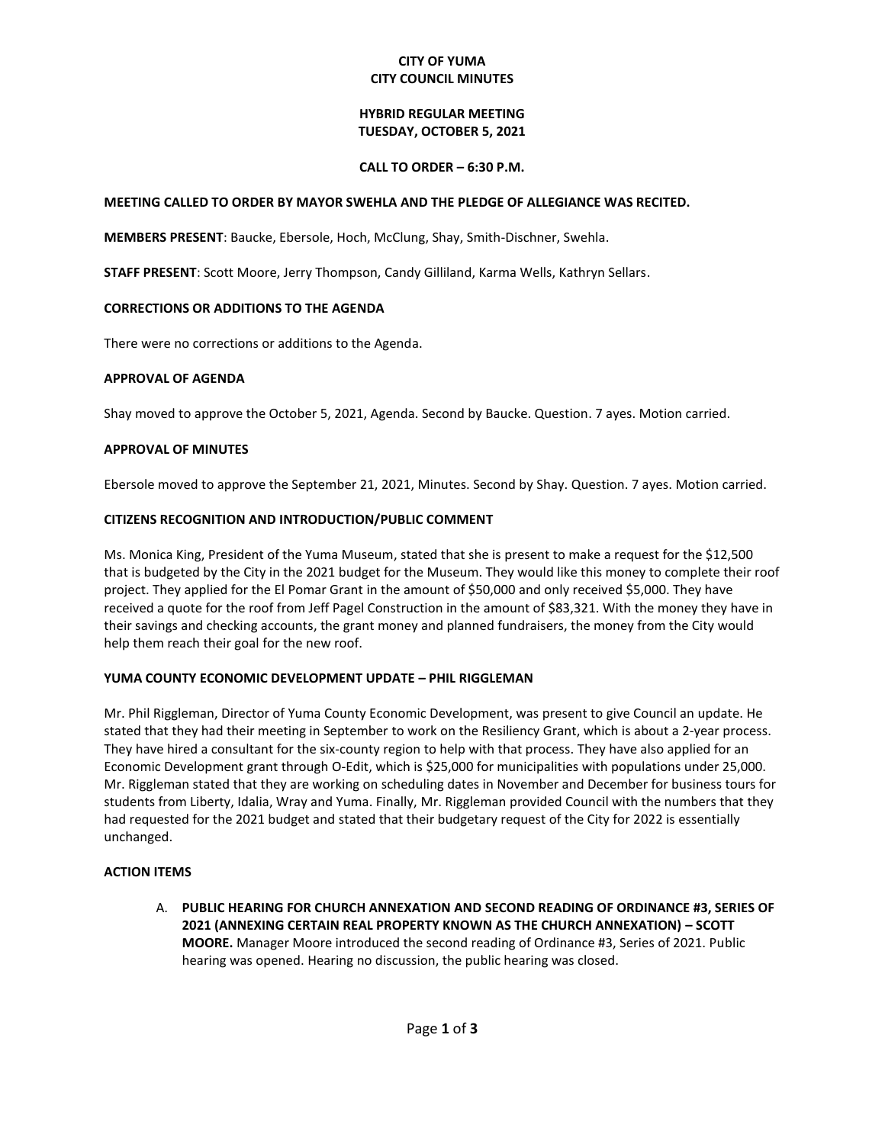### **CITY OF YUMA CITY COUNCIL MINUTES**

### **HYBRID REGULAR MEETING TUESDAY, OCTOBER 5, 2021**

#### **CALL TO ORDER – 6:30 P.M.**

### **MEETING CALLED TO ORDER BY MAYOR SWEHLA AND THE PLEDGE OF ALLEGIANCE WAS RECITED.**

**MEMBERS PRESENT**: Baucke, Ebersole, Hoch, McClung, Shay, Smith-Dischner, Swehla.

**STAFF PRESENT**: Scott Moore, Jerry Thompson, Candy Gilliland, Karma Wells, Kathryn Sellars.

## **CORRECTIONS OR ADDITIONS TO THE AGENDA**

There were no corrections or additions to the Agenda.

## **APPROVAL OF AGENDA**

Shay moved to approve the October 5, 2021, Agenda. Second by Baucke. Question. 7 ayes. Motion carried.

## **APPROVAL OF MINUTES**

Ebersole moved to approve the September 21, 2021, Minutes. Second by Shay. Question. 7 ayes. Motion carried.

# **CITIZENS RECOGNITION AND INTRODUCTION/PUBLIC COMMENT**

Ms. Monica King, President of the Yuma Museum, stated that she is present to make a request for the \$12,500 that is budgeted by the City in the 2021 budget for the Museum. They would like this money to complete their roof project. They applied for the El Pomar Grant in the amount of \$50,000 and only received \$5,000. They have received a quote for the roof from Jeff Pagel Construction in the amount of \$83,321. With the money they have in their savings and checking accounts, the grant money and planned fundraisers, the money from the City would help them reach their goal for the new roof.

#### **YUMA COUNTY ECONOMIC DEVELOPMENT UPDATE – PHIL RIGGLEMAN**

Mr. Phil Riggleman, Director of Yuma County Economic Development, was present to give Council an update. He stated that they had their meeting in September to work on the Resiliency Grant, which is about a 2-year process. They have hired a consultant for the six-county region to help with that process. They have also applied for an Economic Development grant through O-Edit, which is \$25,000 for municipalities with populations under 25,000. Mr. Riggleman stated that they are working on scheduling dates in November and December for business tours for students from Liberty, Idalia, Wray and Yuma. Finally, Mr. Riggleman provided Council with the numbers that they had requested for the 2021 budget and stated that their budgetary request of the City for 2022 is essentially unchanged.

#### **ACTION ITEMS**

A. **PUBLIC HEARING FOR CHURCH ANNEXATION AND SECOND READING OF ORDINANCE #3, SERIES OF 2021 (ANNEXING CERTAIN REAL PROPERTY KNOWN AS THE CHURCH ANNEXATION) – SCOTT MOORE.** Manager Moore introduced the second reading of Ordinance #3, Series of 2021. Public hearing was opened. Hearing no discussion, the public hearing was closed.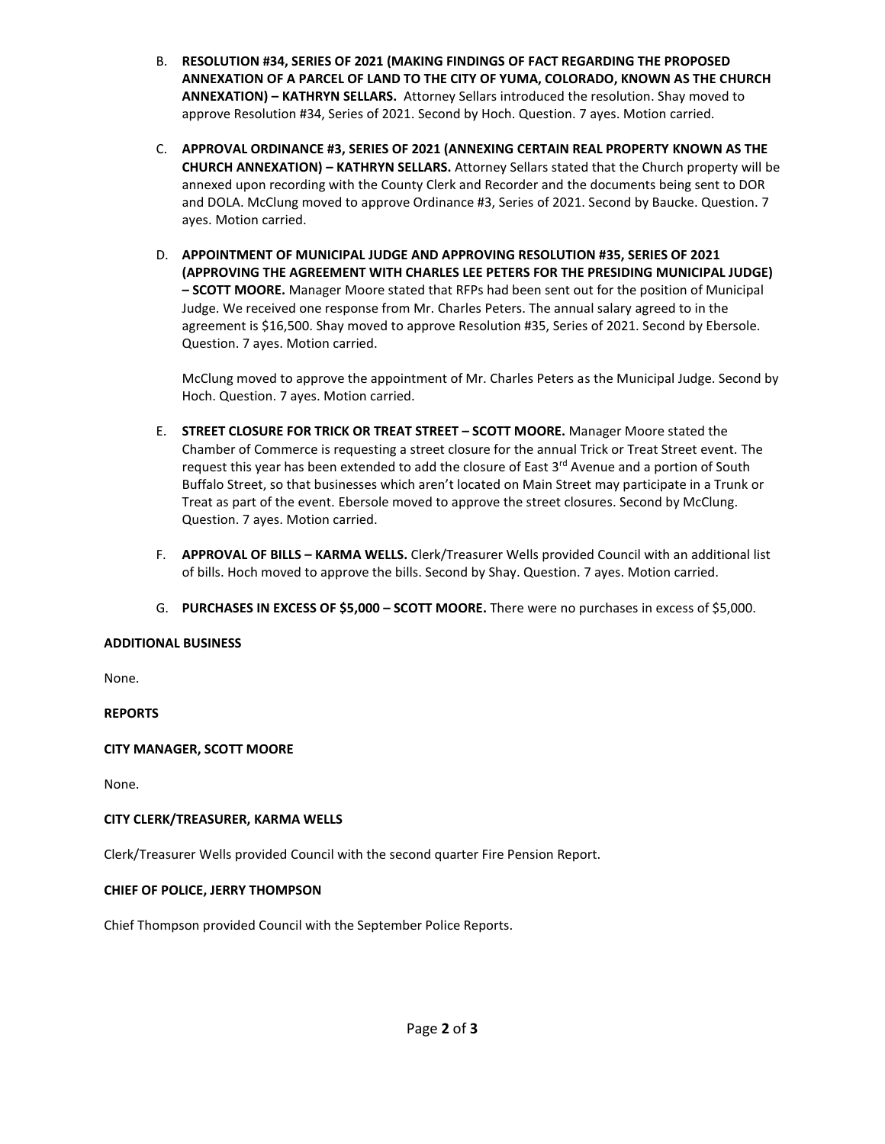- B. **RESOLUTION #34, SERIES OF 2021 (MAKING FINDINGS OF FACT REGARDING THE PROPOSED ANNEXATION OF A PARCEL OF LAND TO THE CITY OF YUMA, COLORADO, KNOWN AS THE CHURCH ANNEXATION) – KATHRYN SELLARS.** Attorney Sellars introduced the resolution. Shay moved to approve Resolution #34, Series of 2021. Second by Hoch. Question. 7 ayes. Motion carried.
- C. **APPROVAL ORDINANCE #3, SERIES OF 2021 (ANNEXING CERTAIN REAL PROPERTY KNOWN AS THE CHURCH ANNEXATION) – KATHRYN SELLARS.** Attorney Sellars stated that the Church property will be annexed upon recording with the County Clerk and Recorder and the documents being sent to DOR and DOLA. McClung moved to approve Ordinance #3, Series of 2021. Second by Baucke. Question. 7 ayes. Motion carried.
- D. **APPOINTMENT OF MUNICIPAL JUDGE AND APPROVING RESOLUTION #35, SERIES OF 2021 (APPROVING THE AGREEMENT WITH CHARLES LEE PETERS FOR THE PRESIDING MUNICIPAL JUDGE) – SCOTT MOORE.** Manager Moore stated that RFPs had been sent out for the position of Municipal Judge. We received one response from Mr. Charles Peters. The annual salary agreed to in the agreement is \$16,500. Shay moved to approve Resolution #35, Series of 2021. Second by Ebersole. Question. 7 ayes. Motion carried.

McClung moved to approve the appointment of Mr. Charles Peters as the Municipal Judge. Second by Hoch. Question. 7 ayes. Motion carried.

- E. **STREET CLOSURE FOR TRICK OR TREAT STREET – SCOTT MOORE.** Manager Moore stated the Chamber of Commerce is requesting a street closure for the annual Trick or Treat Street event. The request this year has been extended to add the closure of East 3<sup>rd</sup> Avenue and a portion of South Buffalo Street, so that businesses which aren't located on Main Street may participate in a Trunk or Treat as part of the event. Ebersole moved to approve the street closures. Second by McClung. Question. 7 ayes. Motion carried.
- F. **APPROVAL OF BILLS – KARMA WELLS.** Clerk/Treasurer Wells provided Council with an additional list of bills. Hoch moved to approve the bills. Second by Shay. Question. 7 ayes. Motion carried.
- G. **PURCHASES IN EXCESS OF \$5,000 – SCOTT MOORE.** There were no purchases in excess of \$5,000.

#### **ADDITIONAL BUSINESS**

None.

**REPORTS**

# **CITY MANAGER, SCOTT MOORE**

None.

#### **CITY CLERK/TREASURER, KARMA WELLS**

Clerk/Treasurer Wells provided Council with the second quarter Fire Pension Report.

#### **CHIEF OF POLICE, JERRY THOMPSON**

Chief Thompson provided Council with the September Police Reports.